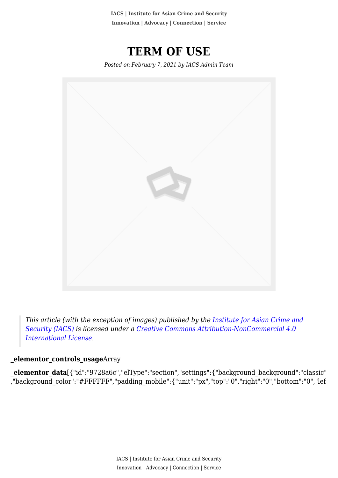**IACS | Institute for Asian Crime and Security Innovation | Advocacy | Connection | Service**

**TERM OF USE**

*Posted on February 7, 2021 by IACS Admin Team*



*This article (with the exception of images) published by th[e Institute for Asian Crime and](http://www.theiacs.org) [Security \(IACS\)](http://www.theiacs.org) is licensed under a [Creative Commons Attribution-NonCommercial 4.0](http://creativecommons.org/licenses/by-nc/4.0/) [International License](http://creativecommons.org/licenses/by-nc/4.0/).*

#### **\_elementor\_controls\_usage**Array

**\_elementor\_data**[{"id":"9728a6c","elType":"section","settings":{"background\_background":"classic" ,"background\_color":"#FFFFFF","padding\_mobile":{"unit":"px","top":"0","right":"0","bottom":"0","lef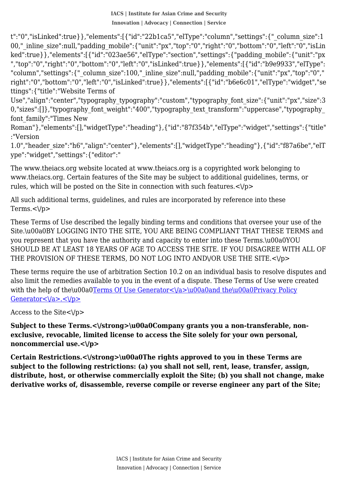00,"\_inline\_size":null,"padding\_mobile":{"unit":"px","top":"0","right":"0","bottom":"0","left":"0","isLin t":"0","isLinked":true}},"elements":[{"id":"22b1ca5","elType":"column","settings":{"\_column\_size":1 ked":true}},"elements":[{"id":"023ae56","elType":"section","settings":{"padding\_mobile":{"unit":"px ","top":"0","right":"0","bottom":"0","left":"0","isLinked":true}},"elements":[{"id":"b9e9933","elType": "column","settings":{"\_column\_size":100,"\_inline\_size":null,"padding\_mobile":{"unit":"px","top":"0"," right":"0","bottom":"0","left":"0","isLinked":true}},"elements":[{"id":"b6e6c01","elType":"widget","se ttings":{"title":"Website Terms of

Use","align":"center","typography\_typography":"custom","typography\_font\_size":{"unit":"px","size":3 0,"sizes":[]},"typography\_font\_weight":"400","typography\_text\_transform":"uppercase","typography\_ font\_family":"Times New

Roman"},"elements":[],"widgetType":"heading"},{"id":"87f354b","elType":"widget","settings":{"title" :"Version

1.0","header\_size":"h6","align":"center"},"elements":[],"widgetType":"heading"},{"id":"f87a6be","elT ype":"widget","settings":{"editor":"

The www.theiacs.org website located at www.theiacs.org is a copyrighted work belonging to www.theiacs.org. Certain features of the Site may be subject to additional guidelines, terms, or rules, which will be posted on the Site in connection with such features. $\langle \rangle$ p>

All such additional terms, guidelines, and rules are incorporated by reference into these Terms. $<$  $\sqrt{p}$ 

These Terms of Use described the legally binding terms and conditions that oversee your use of the Site.\u00a0BY LOGGING INTO THE SITE, YOU ARE BEING COMPLIANT THAT THESE TERMS and you represent that you have the authority and capacity to enter into these Terms.\u00a0YOU SHOULD BE AT LEAST 18 YEARS OF AGE TO ACCESS THE SITE. IF YOU DISAGREE WITH ALL OF THE PROVISION OF THESE TERMS, DO NOT LOG INTO ANDVOR USE THE SITE.<\/p>

[These terms require the use of arbitration Section 10.2 on an individual basis to resolve disputes and](https://theiacs.org/) [also limit the remedies available to you in the event of a dispute. These Terms of Use were created](https://theiacs.org/) with the help of the\u00a0Terms Of Use Generator  $\langle \langle a \rangle$  \u00a0and the\u00a0Privacy Policy Generator  $\langle \rangle$ a>. $\langle \rangle$ p>

Access to the Site<\/p>

Subject to these Terms.<\/strong>\u00a0Company grants you a non-transferable, non**exclusive, revocable, limited license to access the Site solely for your own personal, noncommercial use.<\/p>**

Certain Restrictions.<\/strong>\u00a0The rights approved to you in these Terms are **subject to the following restrictions: (a) you shall not sell, rent, lease, transfer, assign, distribute, host, or otherwise commercially exploit the Site; (b) you shall not change, make derivative works of, disassemble, reverse compile or reverse engineer any part of the Site;**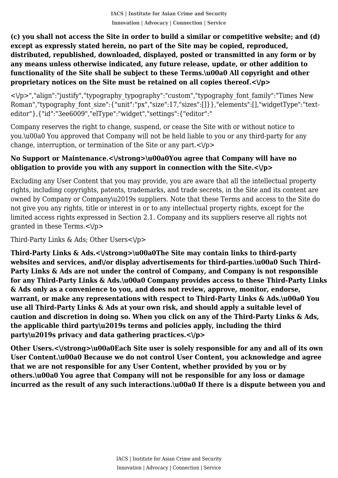**except as expressly stated herein, no part of the Site may be copied, reproduced, (c) you shall not access the Site in order to build a similar or competitive website; and (d) distributed, republished, downloaded, displayed, posted or transmitted in any form or by any means unless otherwise indicated, any future release, update, or other addition to functionality of the Site shall be subject to these Terms.\u00a0 All copyright and other proprietary notices on the Site must be retained on all copies thereof.<\/p>**

<\/p>","align":"justify","typography\_typography":"custom","typography\_font\_family":"Times New Roman","typography\_font\_size":{"unit":"px","size":17,"sizes":[]}},"elements":[],"widgetType":"texteditor"},{"id":"3ee6009","elType":"widget","settings":{"editor":"

Company reserves the right to change, suspend, or cease the Site with or without notice to you.\u00a0 You approved that Company will not be held liable to you or any third-party for any change, interruption, or termination of the Site or any part. $\langle \rangle$ p>

# **No Support or Maintenance.<\/strong>\u00a0You agree that Company will have no obligation to provide you with any support in connection with the Site.<\/p>**

Excluding any User Content that you may provide, you are aware that all the intellectual property rights, including copyrights, patents, trademarks, and trade secrets, in the Site and its content are owned by Company or Company\u2019s suppliers. Note that these Terms and access to the Site do not give you any rights, title or interest in or to any intellectual property rights, except for the limited access rights expressed in Section 2.1. Company and its suppliers reserve all rights not qranted in these Terms. $<\rangle p>$ 

Third-Party Links & Ads; Other Users<\/p>

**Third-Party Links & Ads.<\/strong>\u00a0The Site may contain links to third-party** websites and services, and\/or display advertisements for third-parties.\u00a0 Such Third-**Party Links & Ads are not under the control of Company, and Company is not responsible for any Third-Party Links & Ads.\u00a0 Company provides access to these Third-Party Links & Ads only as a convenience to you, and does not review, approve, monitor, endorse, warrant, or make any representations with respect to Third-Party Links & Ads.\u00a0 You use all Third-Party Links & Ads at your own risk, and should apply a suitable level of caution and discretion in doing so. When you click on any of the Third-Party Links & Ads, the applicable third party\u2019s terms and policies apply, including the third party\u2019s privacy and data gathering practices.<\/p>**

Other Users.<\/strong>\u00a0Each Site user is solely responsible for any and all of its own **User Content.\u00a0 Because we do not control User Content, you acknowledge and agree that we are not responsible for any User Content, whether provided by you or by others.\u00a0 You agree that Company will not be responsible for any loss or damage incurred as the result of any such interactions.\u00a0 If there is a dispute between you and**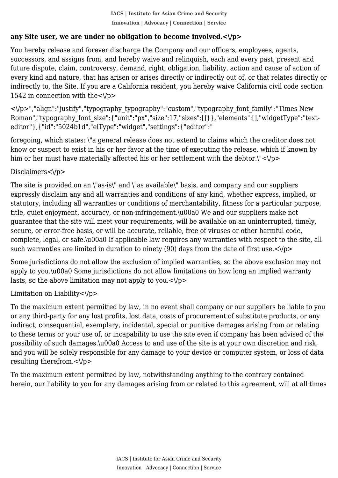# **any Site user, we are under no obligation to become involved.<\/p>**

 You hereby release and forever discharge the Company and our officers, employees, agents, successors, and assigns from, and hereby waive and relinquish, each and every past, present and future dispute, claim, controversy, demand, right, obligation, liability, action and cause of action of every kind and nature, that has arisen or arises directly or indirectly out of, or that relates directly or indirectly to, the Site. If you are a California resident, you hereby waive California civil code section 1542 in connection with the  $\langle \rangle p$ 

<\/p>","align":"justify","typography\_typography":"custom","typography\_font\_family":"Times New Roman","typography\_font\_size":{"unit":"px","size":17,"sizes":[]}},"elements":[],"widgetType":"texteditor"},{"id":"5024b1d","elType":"widget","settings":{"editor":"

foregoing, which states: \"a general release does not extend to claims which the creditor does not know or suspect to exist in his or her favor at the time of executing the release, which if known by him or her must have materially affected his or her settlement with the debtor. $\sqrt{p}$ 

Disclaimers<\/n>

The site is provided on an \"as-is\" and \"as available\" basis, and company and our suppliers expressly disclaim any and all warranties and conditions of any kind, whether express, implied, or statutory, including all warranties or conditions of merchantability, fitness for a particular purpose, title, quiet enjoyment, accuracy, or non-infringement.\u00a0 We and our suppliers make not guarantee that the site will meet your requirements, will be available on an uninterrupted, timely, secure, or error-free basis, or will be accurate, reliable, free of viruses or other harmful code, complete, legal, or safe.\u00a0 If applicable law requires any warranties with respect to the site, all such warranties are limited in duration to ninety (90) days from the date of first use. $\langle \rangle$ p>

Some jurisdictions do not allow the exclusion of implied warranties, so the above exclusion may not apply to you.\u00a0 Some jurisdictions do not allow limitations on how long an implied warranty lasts, so the above limitation may not apply to you. $\langle \rangle$ p>

Limitation on Liability $\langle \rangle p$ 

To the maximum extent permitted by law, in no event shall company or our suppliers be liable to you or any third-party for any lost profits, lost data, costs of procurement of substitute products, or any indirect, consequential, exemplary, incidental, special or punitive damages arising from or relating to these terms or your use of, or incapability to use the site even if company has been advised of the possibility of such damages.\u00a0 Access to and use of the site is at your own discretion and risk, and you will be solely responsible for any damage to your device or computer system, or loss of data resulting therefrom.<\/p>

To the maximum extent permitted by law, notwithstanding anything to the contrary contained herein, our liability to you for any damages arising from or related to this agreement, will at all times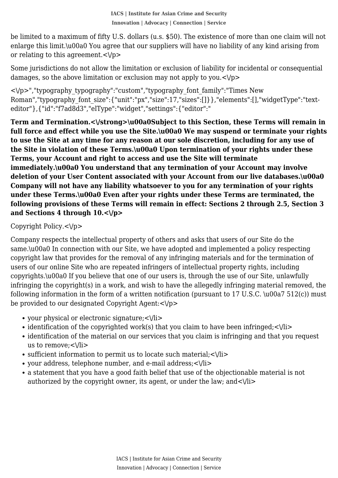enlarge this limit.\u00a0 You agree that our suppliers will have no liability of any kind arising from be limited to a maximum of fifty U.S. dollars (u.s. \$50). The existence of more than one claim will not or relating to this agreement. $\langle \rangle$ p>

Some jurisdictions do not allow the limitation or exclusion of liability for incidental or consequential damages, so the above limitation or exclusion may not apply to you. $\langle \rangle$ p>

<\/p>","typography\_typography":"custom","typography\_font\_family":"Times New Roman","typography\_font\_size":{"unit":"px","size":17,"sizes":[]}},"elements":[],"widgetType":"texteditor"},{"id":"f7ad8d3","elType":"widget","settings":{"editor":"

**Term and Termination.<\/strong>\u00a0Subject to this Section, these Terms will remain in full force and effect while you use the Site.\u00a0 We may suspend or terminate your rights to use the Site at any time for any reason at our sole discretion, including for any use of the Site in violation of these Terms.\u00a0 Upon termination of your rights under these Terms, your Account and right to access and use the Site will terminate immediately.\u00a0 You understand that any termination of your Account may involve deletion of your User Content associated with your Account from our live databases.\u00a0 Company will not have any liability whatsoever to you for any termination of your rights under these Terms.\u00a0 Even after your rights under these Terms are terminated, the**

**following provisions of these Terms will remain in effect: Sections 2 through 2.5, Section 3**

## Copyright Policy. $\langle \rangle$ p>

**and Sections 4 through 10.<\/p>**

Company respects the intellectual property of others and asks that users of our Site do the same.\u00a0 In connection with our Site, we have adopted and implemented a policy respecting copyright law that provides for the removal of any infringing materials and for the termination of users of our online Site who are repeated infringers of intellectual property rights, including copyrights.\u00a0 If you believe that one of our users is, through the use of our Site, unlawfully infringing the copyright(s) in a work, and wish to have the allegedly infringing material removed, the following information in the form of a written notification (pursuant to 17 U.S.C.  $\u00a7 512(c)$ ) must be provided to our designated Copyright Agent: <\/p>

- your physical or electronic signature;<\/li>
- identification of the copyrighted work(s) that you claim to have been infringed;  $\langle \rangle$ li>
- identification of the material on our services that you claim is infringing and that you request us to remove: </li>
- $\bullet$  sufficient information to permit us to locate such material; $\langle \rangle$ li>
- your address, telephone number, and e-mail address;<\/li>
- a statement that you have a good faith belief that use of the objectionable material is not authorized by the copyright owner, its agent, or under the law; and  $\langle$ Vii $\rangle$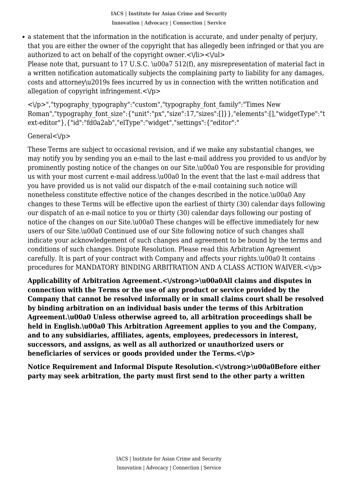that you are either the owner of the copyright that has allegedly been infringed or that you are a statement that the information in the notification is accurate, and under penalty of perjury, authorized to act on behalf of the copyright owner. $\langle \text{V1i} \rangle \langle \text{V1} \rangle$ Please note that, pursuant to 17 U.S.C. \u00a7 512(f), any misrepresentation of material fact in a written notification automatically subjects the complaining party to liability for any damages, costs and attorney\u2019s fees incurred by us in connection with the written notification and allegation of copyright infringement. $\langle \rangle$ p>

<\/p>","typography\_typography":"custom","typography\_font\_family":"Times New Roman","typography\_font\_size":{"unit":"px","size":17,"sizes":[]}},"elements":[],"widgetType":"t ext-editor"},{"id":"fd0a2ab","elType":"widget","settings":{"editor":"

#### General<\/p>

These Terms are subject to occasional revision, and if we make any substantial changes, we may notify you by sending you an e-mail to the last e-mail address you provided to us and\/or by prominently posting notice of the changes on our Site.\u00a0 You are responsible for providing us with your most current e-mail address.\u00a0 In the event that the last e-mail address that you have provided us is not valid our dispatch of the e-mail containing such notice will nonetheless constitute effective notice of the changes described in the notice.\u00a0 Any changes to these Terms will be effective upon the earliest of thirty (30) calendar days following our dispatch of an e-mail notice to you or thirty (30) calendar days following our posting of notice of the changes on our Site.\u00a0 These changes will be effective immediately for new users of our Site.\u00a0 Continued use of our Site following notice of such changes shall indicate your acknowledgement of such changes and agreement to be bound by the terms and conditions of such changes. Dispute Resolution. Please read this Arbitration Agreement carefully. It is part of your contract with Company and affects your rights.\u00a0 It contains procedures for MANDATORY BINDING ARBITRATION AND A CLASS ACTION WAIVER.<\/p>

**Applicability of Arbitration Agreement.<\/strong>\u00a0All claims and disputes in connection with the Terms or the use of any product or service provided by the Company that cannot be resolved informally or in small claims court shall be resolved by binding arbitration on an individual basis under the terms of this Arbitration Agreement.\u00a0 Unless otherwise agreed to, all arbitration proceedings shall be held in English.\u00a0 This Arbitration Agreement applies to you and the Company, and to any subsidiaries, affiliates, agents, employees, predecessors in interest, successors, and assigns, as well as all authorized or unauthorized users or beneficiaries of services or goods provided under the Terms.<\/p>**

**Notice Requirement and Informal Dispute Resolution.<\/strong>\u00a0Before either party may seek arbitration, the party must first send to the other party a written**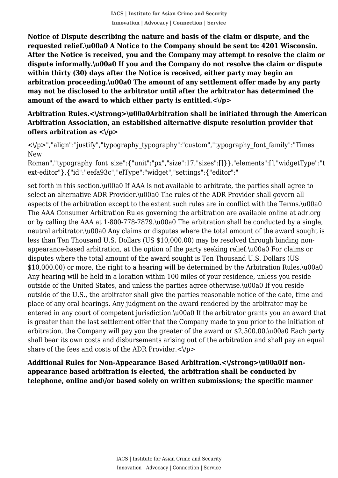**IACS | Institute for Asian Crime and Security Innovation | Advocacy | Connection | Service**

 **requested relief.\u00a0 A Notice to the Company should be sent to: 4201 Wisconsin. Notice of Dispute describing the nature and basis of the claim or dispute, and the After the Notice is received, you and the Company may attempt to resolve the claim or dispute informally.\u00a0 If you and the Company do not resolve the claim or dispute within thirty (30) days after the Notice is received, either party may begin an arbitration proceeding.\u00a0 The amount of any settlement offer made by any party may not be disclosed to the arbitrator until after the arbitrator has determined the amount of the award to which either party is entitled.<\/p>**

#### **Arbitration Rules.<\/strong>\u00a0Arbitration shall be initiated through the American Arbitration Association, an established alternative dispute resolution provider that offers arbitration as <\/p>**

<\/p>","align":"justify","typography\_typography":"custom","typography\_font\_family":"Times New

Roman","typography\_font\_size":{"unit":"px","size":17,"sizes":[]}},"elements":[],"widgetType":"t ext-editor"},{"id":"eefa93c","elType":"widget","settings":{"editor":"

set forth in this section.\u00a0 If AAA is not available to arbitrate, the parties shall agree to select an alternative ADR Provider.\u00a0 The rules of the ADR Provider shall govern all aspects of the arbitration except to the extent such rules are in conflict with the Terms.\u00a0 The AAA Consumer Arbitration Rules governing the arbitration are available online at adr.org or by calling the AAA at 1-800-778-7879.\u00a0 The arbitration shall be conducted by a single, neutral arbitrator.\u00a0 Any claims or disputes where the total amount of the award sought is less than Ten Thousand U.S. Dollars (US \$10,000.00) may be resolved through binding nonappearance-based arbitration, at the option of the party seeking relief.\u00a0 For claims or disputes where the total amount of the award sought is Ten Thousand U.S. Dollars (US \$10,000.00) or more, the right to a hearing will be determined by the Arbitration Rules.\u00a0 Any hearing will be held in a location within 100 miles of your residence, unless you reside outside of the United States, and unless the parties agree otherwise.\u00a0 If you reside outside of the U.S., the arbitrator shall give the parties reasonable notice of the date, time and place of any oral hearings. Any judgment on the award rendered by the arbitrator may be entered in any court of competent jurisdiction.\u00a0 If the arbitrator grants you an award that is greater than the last settlement offer that the Company made to you prior to the initiation of arbitration, the Company will pay you the greater of the award or \$2,500.00.\u00a0 Each party shall bear its own costs and disbursements arising out of the arbitration and shall pay an equal share of the fees and costs of the ADR Provider. $\langle \rangle$ p>

Additional Rules for Non-Appearance Based Arbitration.<\/strong>\u00a0If non**appearance based arbitration is elected, the arbitration shall be conducted by telephone, online and\/or based solely on written submissions; the specific manner**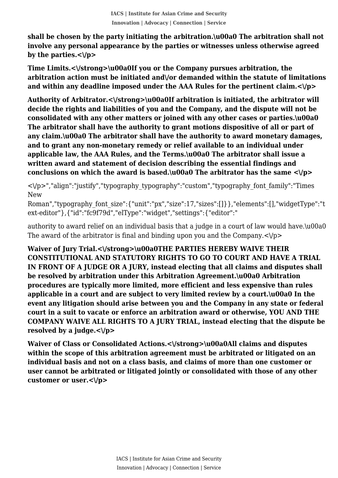**involve any personal appearance by the parties or witnesses unless otherwise agreed shall be chosen by the party initiating the arbitration.\u00a0 The arbitration shall not by the parties.<\/p>**

**Time Limits.<\/strong>\u00a0If you or the Company pursues arbitration, the arbitration action must be initiated and\/or demanded within the statute of limitations and within any deadline imposed under the AAA Rules for the pertinent claim.<\/p>**

Authority of Arbitrator.<\/strong>\u00a0If arbitration is initiated, the arbitrator will **decide the rights and liabilities of you and the Company, and the dispute will not be consolidated with any other matters or joined with any other cases or parties.\u00a0 The arbitrator shall have the authority to grant motions dispositive of all or part of any claim.\u00a0 The arbitrator shall have the authority to award monetary damages, and to grant any non-monetary remedy or relief available to an individual under applicable law, the AAA Rules, and the Terms.\u00a0 The arbitrator shall issue a written award and statement of decision describing the essential findings and conclusions on which the award is based.\u00a0 The arbitrator has the same <\/p>**

<\/p>","align":"justify","typography\_typography":"custom","typography\_font\_family":"Times New

Roman","typography\_font\_size":{"unit":"px","size":17,"sizes":[]}},"elements":[],"widgetType":"t ext-editor"},{"id":"fc9f79d","elType":"widget","settings":{"editor":"

authority to award relief on an individual basis that a judge in a court of law would have.\u00a0 The award of the arbitrator is final and binding upon you and the Company. $\langle \rangle$ p>

**Waiver of Jury Trial.<\/strong>\u00a0THE PARTIES HEREBY WAIVE THEIR CONSTITUTIONAL AND STATUTORY RIGHTS TO GO TO COURT AND HAVE A TRIAL IN FRONT OF A JUDGE OR A JURY, instead electing that all claims and disputes shall be resolved by arbitration under this Arbitration Agreement.\u00a0 Arbitration procedures are typically more limited, more efficient and less expensive than rules applicable in a court and are subject to very limited review by a court.\u00a0 In the event any litigation should arise between you and the Company in any state or federal court in a suit to vacate or enforce an arbitration award or otherwise, YOU AND THE COMPANY WAIVE ALL RIGHTS TO A JURY TRIAL, instead electing that the dispute be resolved by a judge.<\/p>**

**Waiver of Class or Consolidated Actions.<\/strong>\u00a0All claims and disputes within the scope of this arbitration agreement must be arbitrated or litigated on an individual basis and not on a class basis, and claims of more than one customer or user cannot be arbitrated or litigated jointly or consolidated with those of any other customer or user.<\/p>**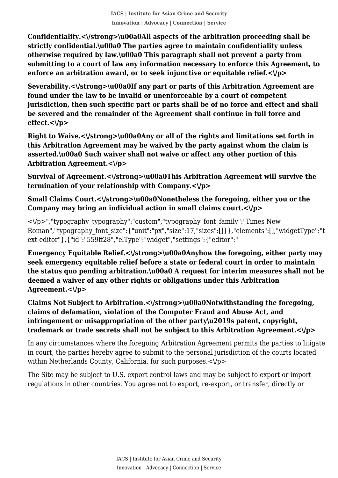**strictly confidential.\u00a0 The parties agree to maintain confidentiality unless Confidentiality.<\/strong>\u00a0All aspects of the arbitration proceeding shall be otherwise required by law.\u00a0 This paragraph shall not prevent a party from submitting to a court of law any information necessary to enforce this Agreement, to enforce an arbitration award, or to seek injunctive or equitable relief.<\/p>**

**Severability.<\/strong>\u00a0If any part or parts of this Arbitration Agreement are found under the law to be invalid or unenforceable by a court of competent jurisdiction, then such specific part or parts shall be of no force and effect and shall be severed and the remainder of the Agreement shall continue in full force and effect.<\/p>**

**Right to Waive.<\/strong>\u00a0Any or all of the rights and limitations set forth in this Arbitration Agreement may be waived by the party against whom the claim is asserted.\u00a0 Such waiver shall not waive or affect any other portion of this Arbitration Agreement.<\/p>**

Survival of Agreement.<\/strong>\u00a0This Arbitration Agreement will survive the **termination of your relationship with Company.<\/p>**

**Small Claims Court.<\/strong>\u00a0Nonetheless the foregoing, either you or the Company may bring an individual action in small claims court.<\/p>**

 $\langle \rangle$  /p>","typography\_typography":"custom","typography\_font\_family":"Times New Roman","typography\_font\_size":{"unit":"px","size":17,"sizes":[]}},"elements":[],"widgetType":"t ext-editor"},{"id":"559ff28","elType":"widget","settings":{"editor":"

**Emergency Equitable Relief.<\/strong>\u00a0Anyhow the foregoing, either party may seek emergency equitable relief before a state or federal court in order to maintain the status quo pending arbitration.\u00a0 A request for interim measures shall not be deemed a waiver of any other rights or obligations under this Arbitration Agreement.<\/p>**

**Claims Not Subject to Arbitration.<\/strong>\u00a0Notwithstanding the foregoing, claims of defamation, violation of the Computer Fraud and Abuse Act, and infringement or misappropriation of the other party\u2019s patent, copyright, trademark or trade secrets shall not be subject to this Arbitration Agreement.<\/p>**

In any circumstances where the foregoing Arbitration Agreement permits the parties to litigate in court, the parties hereby agree to submit to the personal jurisdiction of the courts located within Netherlands County, California, for such purposes.<\/p>

The Site may be subject to U.S. export control laws and may be subject to export or import regulations in other countries. You agree not to export, re-export, or transfer, directly or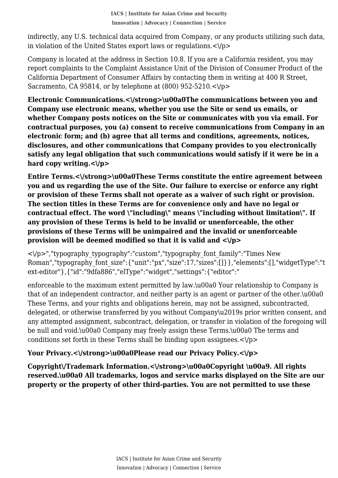in violation of the United States export laws or regulations. $<\!\!\forall$ p $\!\!>$ indirectly, any U.S. technical data acquired from Company, or any products utilizing such data,

Company is located at the address in Section 10.8. If you are a California resident, you may report complaints to the Complaint Assistance Unit of the Division of Consumer Product of the California Department of Consumer Affairs by contacting them in writing at 400 R Street, Sacramento, CA 95814, or by telephone at  $(800)$  952-5210. $\lt$  $\lor$ p>

**Electronic Communications.<\/strong>\u00a0The communications between you and Company use electronic means, whether you use the Site or send us emails, or whether Company posts notices on the Site or communicates with you via email. For contractual purposes, you (a) consent to receive communications from Company in an electronic form; and (b) agree that all terms and conditions, agreements, notices, disclosures, and other communications that Company provides to you electronically satisfy any legal obligation that such communications would satisfy if it were be in a hard copy writing.<\/p>**

**Entire Terms.<\/strong>\u00a0These Terms constitute the entire agreement between you and us regarding the use of the Site. Our failure to exercise or enforce any right or provision of these Terms shall not operate as a waiver of such right or provision. The section titles in these Terms are for convenience only and have no legal or contractual effect. The word \"including\" means \"including without limitation\". If any provision of these Terms is held to be invalid or unenforceable, the other provisions of these Terms will be unimpaired and the invalid or unenforceable provision will be deemed modified so that it is valid and <\/p>**

 $\langle \rangle$  /p>","typography\_typography":"custom","typography\_font\_family":"Times New Roman","typography\_font\_size":{"unit":"px","size":17,"sizes":[]}},"elements":[],"widgetType":"t ext-editor"},{"id":"9dfa886","elType":"widget","settings":{"editor":"

enforceable to the maximum extent permitted by law.\u00a0 Your relationship to Company is that of an independent contractor, and neither party is an agent or partner of the other.\u00a0 These Terms, and your rights and obligations herein, may not be assigned, subcontracted, delegated, or otherwise transferred by you without Company\u2019s prior written consent, and any attempted assignment, subcontract, delegation, or transfer in violation of the foregoing will be null and void.\u00a0 Company may freely assign these Terms.\u00a0 The terms and conditions set forth in these Terms shall be binding upon assignees. $\langle \rangle$ p>

# Your Privacy.<\/strong>\u00a0Please read our Privacy Policy.<\/p>

**Copyright\/Trademark Information.<\/strong>\u00a0Copyright \u00a9. All rights reserved.\u00a0 All trademarks, logos and service marks displayed on the Site are our property or the property of other third-parties. You are not permitted to use these**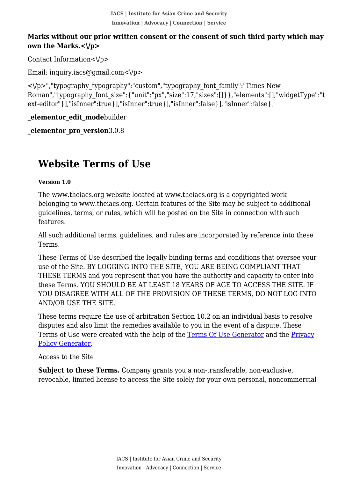**IACS | Institute for Asian Crime and Security Innovation | Advocacy | Connection | Service**

#### **Marks without our prior written consent or the consent of such third party which may own the Marks.<\/p>**

Contact Information< $\forall p$ >

Email: inquiry.iacs@gmail.com< $\sqrt{p}$ 

<\/p>","typography\_typography":"custom","typography\_font\_family":"Times New Roman","typography\_font\_size":{"unit":"px","size":17,"sizes":[]}},"elements":[],"widgetType":"t ext-editor"}],"isInner":true}],"isInner":true}],"isInner":false}],"isInner":false}]

**\_elementor\_edit\_mode**builder

**\_elementor\_pro\_version**3.0.8

# **Website Terms of Use**

#### **Version 1.0**

The www.theiacs.org website located at www.theiacs.org is a copyrighted work belonging to www.theiacs.org. Certain features of the Site may be subject to additional guidelines, terms, or rules, which will be posted on the Site in connection with such features.

All such additional terms, guidelines, and rules are incorporated by reference into these Terms.

These Terms of Use described the legally binding terms and conditions that oversee your use of the Site. BY LOGGING INTO THE SITE, YOU ARE BEING COMPLIANT THAT THESE TERMS and you represent that you have the authority and capacity to enter into these Terms. YOU SHOULD BE AT LEAST 18 YEARS OF AGE TO ACCESS THE SITE. IF YOU DISAGREE WITH ALL OF THE PROVISION OF THESE TERMS, DO NOT LOG INTO AND/OR USE THE SITE.

These terms require the use of arbitration Section 10.2 on an individual basis to resolve disputes and also limit the remedies available to you in the event of a dispute. These Terms of Use were created with the help of the [Terms Of Use Generator](https://www.termsofusegenerator.net/) and the [Privacy](https://www.generateprivacypolicy.com/) [Policy Generator.](https://www.generateprivacypolicy.com/)

Access to the Site

**Subject to these Terms.** Company grants you a non-transferable, non-exclusive, revocable, limited license to access the Site solely for your own personal, noncommercial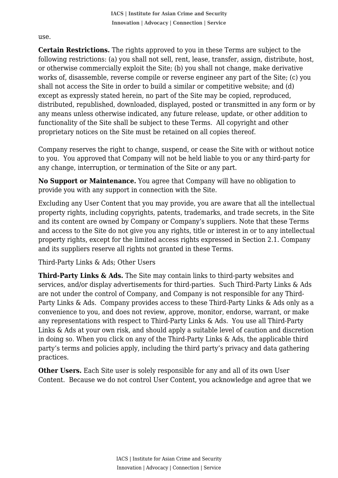use.

 **Certain Restrictions.** The rights approved to you in these Terms are subject to the following restrictions: (a) you shall not sell, rent, lease, transfer, assign, distribute, host, or otherwise commercially exploit the Site; (b) you shall not change, make derivative works of, disassemble, reverse compile or reverse engineer any part of the Site; (c) you shall not access the Site in order to build a similar or competitive website; and (d) except as expressly stated herein, no part of the Site may be copied, reproduced, distributed, republished, downloaded, displayed, posted or transmitted in any form or by any means unless otherwise indicated, any future release, update, or other addition to functionality of the Site shall be subject to these Terms. All copyright and other proprietary notices on the Site must be retained on all copies thereof.

Company reserves the right to change, suspend, or cease the Site with or without notice to you. You approved that Company will not be held liable to you or any third-party for any change, interruption, or termination of the Site or any part.

**No Support or Maintenance.** You agree that Company will have no obligation to provide you with any support in connection with the Site.

Excluding any User Content that you may provide, you are aware that all the intellectual property rights, including copyrights, patents, trademarks, and trade secrets, in the Site and its content are owned by Company or Company's suppliers. Note that these Terms and access to the Site do not give you any rights, title or interest in or to any intellectual property rights, except for the limited access rights expressed in Section 2.1. Company and its suppliers reserve all rights not granted in these Terms.

Third-Party Links & Ads; Other Users

**Third-Party Links & Ads.** The Site may contain links to third-party websites and services, and/or display advertisements for third-parties. Such Third-Party Links & Ads are not under the control of Company, and Company is not responsible for any Third-Party Links & Ads. Company provides access to these Third-Party Links & Ads only as a convenience to you, and does not review, approve, monitor, endorse, warrant, or make any representations with respect to Third-Party Links & Ads. You use all Third-Party Links & Ads at your own risk, and should apply a suitable level of caution and discretion in doing so. When you click on any of the Third-Party Links & Ads, the applicable third party's terms and policies apply, including the third party's privacy and data gathering practices.

**Other Users.** Each Site user is solely responsible for any and all of its own User Content. Because we do not control User Content, you acknowledge and agree that we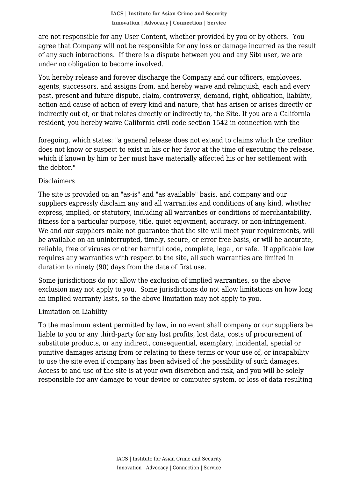agree that Company will not be responsible for any loss or damage incurred as the result are not responsible for any User Content, whether provided by you or by others. You of any such interactions. If there is a dispute between you and any Site user, we are under no obligation to become involved.

You hereby release and forever discharge the Company and our officers, employees, agents, successors, and assigns from, and hereby waive and relinquish, each and every past, present and future dispute, claim, controversy, demand, right, obligation, liability, action and cause of action of every kind and nature, that has arisen or arises directly or indirectly out of, or that relates directly or indirectly to, the Site. If you are a California resident, you hereby waive California civil code section 1542 in connection with the

foregoing, which states: "a general release does not extend to claims which the creditor does not know or suspect to exist in his or her favor at the time of executing the release, which if known by him or her must have materially affected his or her settlement with the debtor."

#### Disclaimers

The site is provided on an "as-is" and "as available" basis, and company and our suppliers expressly disclaim any and all warranties and conditions of any kind, whether express, implied, or statutory, including all warranties or conditions of merchantability, fitness for a particular purpose, title, quiet enjoyment, accuracy, or non-infringement. We and our suppliers make not guarantee that the site will meet your requirements, will be available on an uninterrupted, timely, secure, or error-free basis, or will be accurate, reliable, free of viruses or other harmful code, complete, legal, or safe. If applicable law requires any warranties with respect to the site, all such warranties are limited in duration to ninety (90) days from the date of first use.

Some jurisdictions do not allow the exclusion of implied warranties, so the above exclusion may not apply to you. Some jurisdictions do not allow limitations on how long an implied warranty lasts, so the above limitation may not apply to you.

### Limitation on Liability

To the maximum extent permitted by law, in no event shall company or our suppliers be liable to you or any third-party for any lost profits, lost data, costs of procurement of substitute products, or any indirect, consequential, exemplary, incidental, special or punitive damages arising from or relating to these terms or your use of, or incapability to use the site even if company has been advised of the possibility of such damages. Access to and use of the site is at your own discretion and risk, and you will be solely responsible for any damage to your device or computer system, or loss of data resulting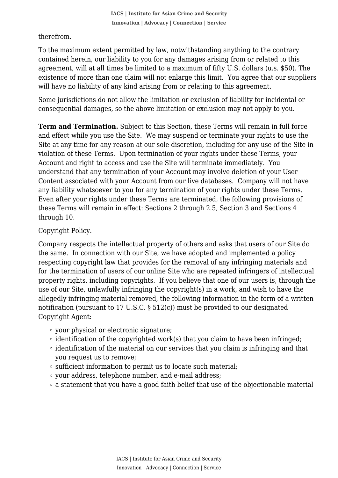therefrom.

 To the maximum extent permitted by law, notwithstanding anything to the contrary contained herein, our liability to you for any damages arising from or related to this agreement, will at all times be limited to a maximum of fifty U.S. dollars (u.s. \$50). The existence of more than one claim will not enlarge this limit. You agree that our suppliers will have no liability of any kind arising from or relating to this agreement.

Some jurisdictions do not allow the limitation or exclusion of liability for incidental or consequential damages, so the above limitation or exclusion may not apply to you.

**Term and Termination.** Subject to this Section, these Terms will remain in full force and effect while you use the Site. We may suspend or terminate your rights to use the Site at any time for any reason at our sole discretion, including for any use of the Site in violation of these Terms. Upon termination of your rights under these Terms, your Account and right to access and use the Site will terminate immediately. You understand that any termination of your Account may involve deletion of your User Content associated with your Account from our live databases. Company will not have any liability whatsoever to you for any termination of your rights under these Terms. Even after your rights under these Terms are terminated, the following provisions of these Terms will remain in effect: Sections 2 through 2.5, Section 3 and Sections 4 through 10.

# Copyright Policy.

Company respects the intellectual property of others and asks that users of our Site do the same. In connection with our Site, we have adopted and implemented a policy respecting copyright law that provides for the removal of any infringing materials and for the termination of users of our online Site who are repeated infringers of intellectual property rights, including copyrights. If you believe that one of our users is, through the use of our Site, unlawfully infringing the copyright(s) in a work, and wish to have the allegedly infringing material removed, the following information in the form of a written notification (pursuant to 17 U.S.C. § 512(c)) must be provided to our designated Copyright Agent:

- your physical or electronic signature;
- $\circ$  identification of the copyrighted work(s) that you claim to have been infringed;
- identification of the material on our services that you claim is infringing and that you request us to remove;
- sufficient information to permit us to locate such material;
- your address, telephone number, and e-mail address;
- a statement that you have a good faith belief that use of the objectionable material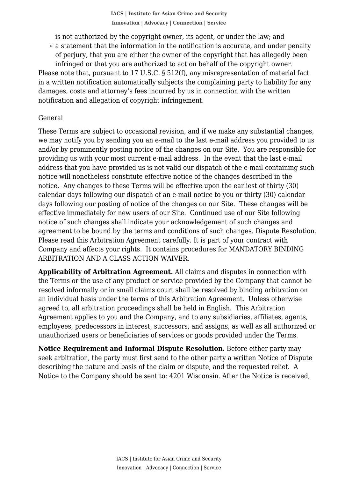is not authorized by the copyright owner, its agent, or under the law; and

 a statement that the information in the notification is accurate, and under penalty of perjury, that you are either the owner of the copyright that has allegedly been infringed or that you are authorized to act on behalf of the copyright owner.

Please note that, pursuant to 17 U.S.C. § 512(f), any misrepresentation of material fact in a written notification automatically subjects the complaining party to liability for any damages, costs and attorney's fees incurred by us in connection with the written notification and allegation of copyright infringement.

#### General

These Terms are subject to occasional revision, and if we make any substantial changes, we may notify you by sending you an e-mail to the last e-mail address you provided to us and/or by prominently posting notice of the changes on our Site. You are responsible for providing us with your most current e-mail address. In the event that the last e-mail address that you have provided us is not valid our dispatch of the e-mail containing such notice will nonetheless constitute effective notice of the changes described in the notice. Any changes to these Terms will be effective upon the earliest of thirty (30) calendar days following our dispatch of an e-mail notice to you or thirty (30) calendar days following our posting of notice of the changes on our Site. These changes will be effective immediately for new users of our Site. Continued use of our Site following notice of such changes shall indicate your acknowledgement of such changes and agreement to be bound by the terms and conditions of such changes. Dispute Resolution. Please read this Arbitration Agreement carefully. It is part of your contract with Company and affects your rights. It contains procedures for MANDATORY BINDING ARBITRATION AND A CLASS ACTION WAIVER.

**Applicability of Arbitration Agreement.** All claims and disputes in connection with the Terms or the use of any product or service provided by the Company that cannot be resolved informally or in small claims court shall be resolved by binding arbitration on an individual basis under the terms of this Arbitration Agreement. Unless otherwise agreed to, all arbitration proceedings shall be held in English. This Arbitration Agreement applies to you and the Company, and to any subsidiaries, affiliates, agents, employees, predecessors in interest, successors, and assigns, as well as all authorized or unauthorized users or beneficiaries of services or goods provided under the Terms.

**Notice Requirement and Informal Dispute Resolution.** Before either party may seek arbitration, the party must first send to the other party a written Notice of Dispute describing the nature and basis of the claim or dispute, and the requested relief. A Notice to the Company should be sent to: 4201 Wisconsin. After the Notice is received,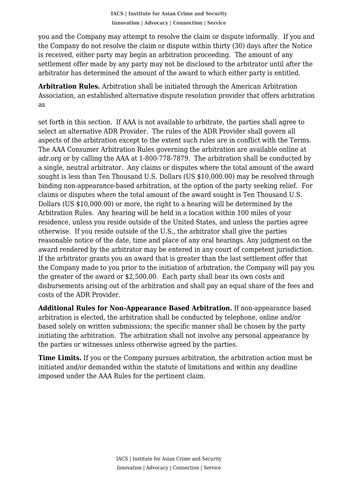the Company do not resolve the claim or dispute within thirty (30) days after the Notice you and the Company may attempt to resolve the claim or dispute informally. If you and is received, either party may begin an arbitration proceeding. The amount of any settlement offer made by any party may not be disclosed to the arbitrator until after the arbitrator has determined the amount of the award to which either party is entitled.

**Arbitration Rules.** Arbitration shall be initiated through the American Arbitration Association, an established alternative dispute resolution provider that offers arbitration as

set forth in this section. If AAA is not available to arbitrate, the parties shall agree to select an alternative ADR Provider. The rules of the ADR Provider shall govern all aspects of the arbitration except to the extent such rules are in conflict with the Terms. The AAA Consumer Arbitration Rules governing the arbitration are available online at adr.org or by calling the AAA at 1-800-778-7879. The arbitration shall be conducted by a single, neutral arbitrator. Any claims or disputes where the total amount of the award sought is less than Ten Thousand U.S. Dollars (US \$10,000.00) may be resolved through binding non-appearance-based arbitration, at the option of the party seeking relief. For claims or disputes where the total amount of the award sought is Ten Thousand U.S. Dollars (US \$10,000.00) or more, the right to a hearing will be determined by the Arbitration Rules. Any hearing will be held in a location within 100 miles of your residence, unless you reside outside of the United States, and unless the parties agree otherwise. If you reside outside of the U.S., the arbitrator shall give the parties reasonable notice of the date, time and place of any oral hearings. Any judgment on the award rendered by the arbitrator may be entered in any court of competent jurisdiction. If the arbitrator grants you an award that is greater than the last settlement offer that the Company made to you prior to the initiation of arbitration, the Company will pay you the greater of the award or \$2,500.00. Each party shall bear its own costs and disbursements arising out of the arbitration and shall pay an equal share of the fees and costs of the ADR Provider.

**Additional Rules for Non-Appearance Based Arbitration.** If non-appearance based arbitration is elected, the arbitration shall be conducted by telephone, online and/or based solely on written submissions; the specific manner shall be chosen by the party initiating the arbitration. The arbitration shall not involve any personal appearance by the parties or witnesses unless otherwise agreed by the parties.

**Time Limits.** If you or the Company pursues arbitration, the arbitration action must be initiated and/or demanded within the statute of limitations and within any deadline imposed under the AAA Rules for the pertinent claim.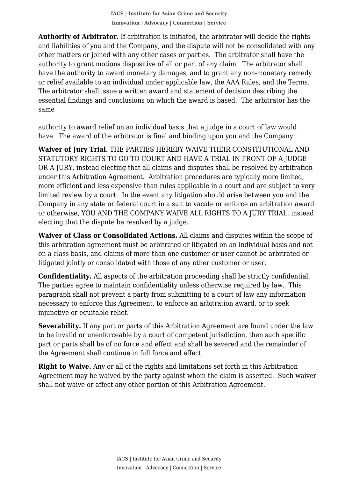and liabilities of you and the Company, and the dispute will not be consolidated with any **Authority of Arbitrator.** If arbitration is initiated, the arbitrator will decide the rights other matters or joined with any other cases or parties. The arbitrator shall have the authority to grant motions dispositive of all or part of any claim. The arbitrator shall have the authority to award monetary damages, and to grant any non-monetary remedy or relief available to an individual under applicable law, the AAA Rules, and the Terms. The arbitrator shall issue a written award and statement of decision describing the essential findings and conclusions on which the award is based. The arbitrator has the same

authority to award relief on an individual basis that a judge in a court of law would have. The award of the arbitrator is final and binding upon you and the Company.

**Waiver of Jury Trial.** THE PARTIES HEREBY WAIVE THEIR CONSTITUTIONAL AND STATUTORY RIGHTS TO GO TO COURT AND HAVE A TRIAL IN FRONT OF A JUDGE OR A JURY, instead electing that all claims and disputes shall be resolved by arbitration under this Arbitration Agreement. Arbitration procedures are typically more limited, more efficient and less expensive than rules applicable in a court and are subject to very limited review by a court. In the event any litigation should arise between you and the Company in any state or federal court in a suit to vacate or enforce an arbitration award or otherwise, YOU AND THE COMPANY WAIVE ALL RIGHTS TO A JURY TRIAL, instead electing that the dispute be resolved by a judge.

**Waiver of Class or Consolidated Actions.** All claims and disputes within the scope of this arbitration agreement must be arbitrated or litigated on an individual basis and not on a class basis, and claims of more than one customer or user cannot be arbitrated or litigated jointly or consolidated with those of any other customer or user.

**Confidentiality.** All aspects of the arbitration proceeding shall be strictly confidential. The parties agree to maintain confidentiality unless otherwise required by law. This paragraph shall not prevent a party from submitting to a court of law any information necessary to enforce this Agreement, to enforce an arbitration award, or to seek injunctive or equitable relief.

**Severability.** If any part or parts of this Arbitration Agreement are found under the law to be invalid or unenforceable by a court of competent jurisdiction, then such specific part or parts shall be of no force and effect and shall be severed and the remainder of the Agreement shall continue in full force and effect.

**Right to Waive.** Any or all of the rights and limitations set forth in this Arbitration Agreement may be waived by the party against whom the claim is asserted. Such waiver shall not waive or affect any other portion of this Arbitration Agreement.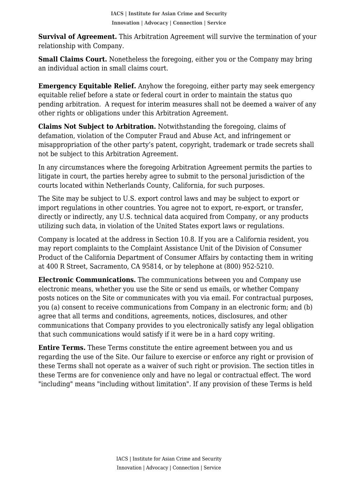**Survival of Agreement.** This Arbitration Agreement will survive the termination of your relationship with Company.

**Small Claims Court.** Nonetheless the foregoing, either you or the Company may bring an individual action in small claims court.

**Emergency Equitable Relief.** Anyhow the foregoing, either party may seek emergency equitable relief before a state or federal court in order to maintain the status quo pending arbitration. A request for interim measures shall not be deemed a waiver of any other rights or obligations under this Arbitration Agreement.

**Claims Not Subject to Arbitration.** Notwithstanding the foregoing, claims of defamation, violation of the Computer Fraud and Abuse Act, and infringement or misappropriation of the other party's patent, copyright, trademark or trade secrets shall not be subject to this Arbitration Agreement.

In any circumstances where the foregoing Arbitration Agreement permits the parties to litigate in court, the parties hereby agree to submit to the personal jurisdiction of the courts located within Netherlands County, California, for such purposes.

The Site may be subject to U.S. export control laws and may be subject to export or import regulations in other countries. You agree not to export, re-export, or transfer, directly or indirectly, any U.S. technical data acquired from Company, or any products utilizing such data, in violation of the United States export laws or regulations.

Company is located at the address in Section 10.8. If you are a California resident, you may report complaints to the Complaint Assistance Unit of the Division of Consumer Product of the California Department of Consumer Affairs by contacting them in writing at 400 R Street, Sacramento, CA 95814, or by telephone at (800) 952-5210.

**Electronic Communications.** The communications between you and Company use electronic means, whether you use the Site or send us emails, or whether Company posts notices on the Site or communicates with you via email. For contractual purposes, you (a) consent to receive communications from Company in an electronic form; and (b) agree that all terms and conditions, agreements, notices, disclosures, and other communications that Company provides to you electronically satisfy any legal obligation that such communications would satisfy if it were be in a hard copy writing.

**Entire Terms.** These Terms constitute the entire agreement between you and us regarding the use of the Site. Our failure to exercise or enforce any right or provision of these Terms shall not operate as a waiver of such right or provision. The section titles in these Terms are for convenience only and have no legal or contractual effect. The word "including" means "including without limitation". If any provision of these Terms is held